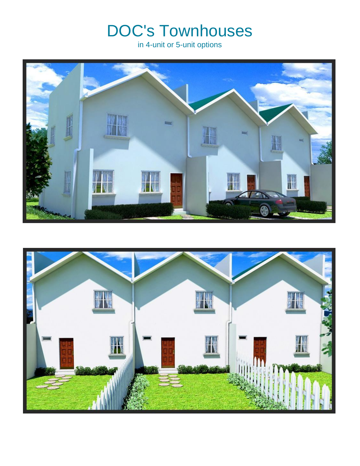# DOC's Townhouses

in 4-unit or 5-unit options



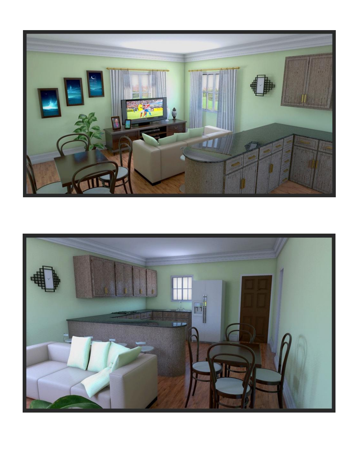

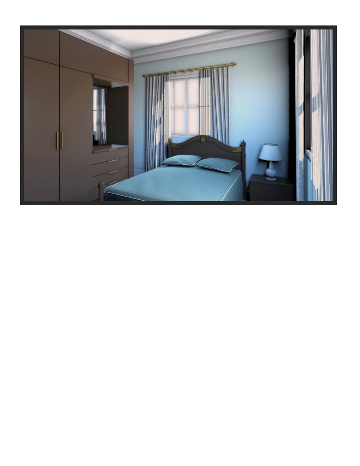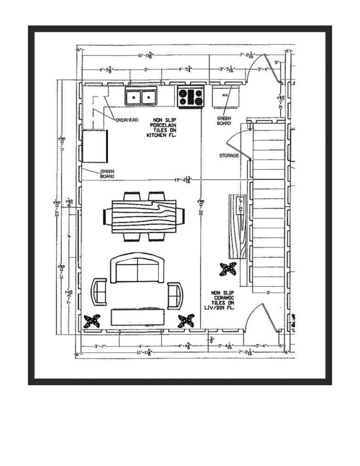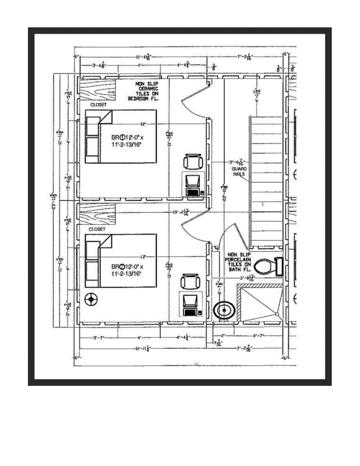